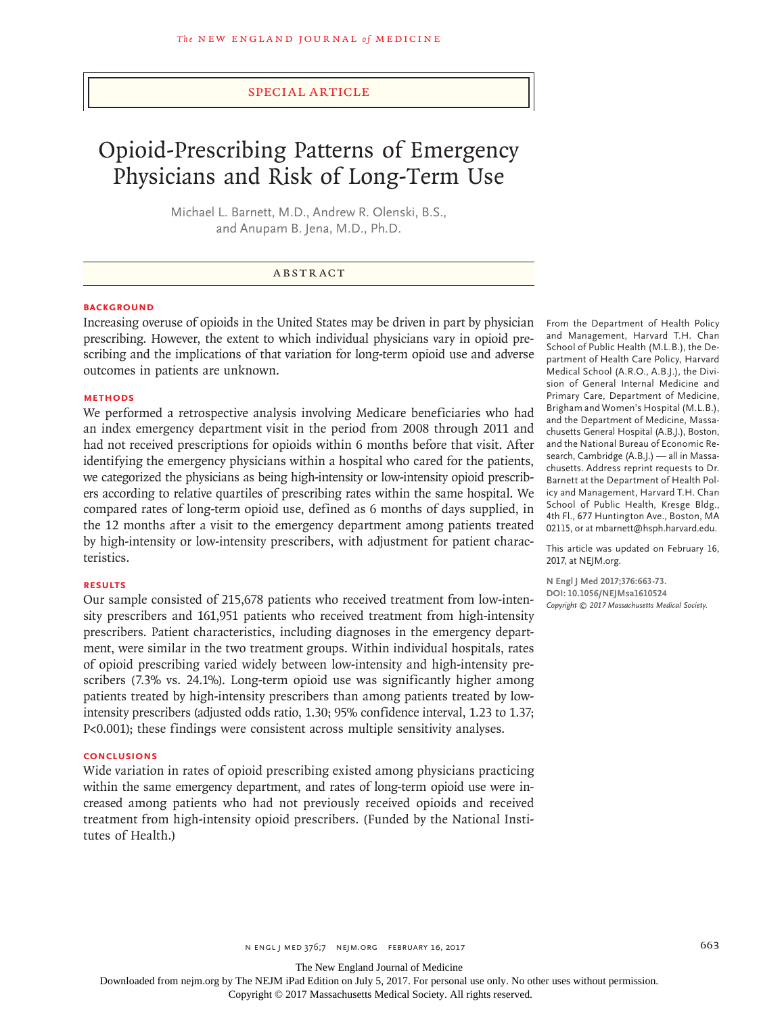## Special Article

# Opioid-Prescribing Patterns of Emergency Physicians and Risk of Long-Term Use

Michael L. Barnett, M.D., Andrew R. Olenski, B.S., and Anupam B. Jena, M.D., Ph.D.

## ABSTRACT

## **BACKGROUND**

Increasing overuse of opioids in the United States may be driven in part by physician prescribing. However, the extent to which individual physicians vary in opioid prescribing and the implications of that variation for long-term opioid use and adverse outcomes in patients are unknown.

#### **METHODS**

We performed a retrospective analysis involving Medicare beneficiaries who had an index emergency department visit in the period from 2008 through 2011 and had not received prescriptions for opioids within 6 months before that visit. After identifying the emergency physicians within a hospital who cared for the patients, we categorized the physicians as being high-intensity or low-intensity opioid prescribers according to relative quartiles of prescribing rates within the same hospital. We compared rates of long-term opioid use, defined as 6 months of days supplied, in the 12 months after a visit to the emergency department among patients treated by high-intensity or low-intensity prescribers, with adjustment for patient characteristics.

## **RESULTS**

Our sample consisted of 215,678 patients who received treatment from low-intensity prescribers and 161,951 patients who received treatment from high-intensity prescribers. Patient characteristics, including diagnoses in the emergency department, were similar in the two treatment groups. Within individual hospitals, rates of opioid prescribing varied widely between low-intensity and high-intensity prescribers (7.3% vs. 24.1%). Long-term opioid use was significantly higher among patients treated by high-intensity prescribers than among patients treated by lowintensity prescribers (adjusted odds ratio, 1.30; 95% confidence interval, 1.23 to 1.37; P<0.001); these findings were consistent across multiple sensitivity analyses.

## **CONCLUSIONS**

Wide variation in rates of opioid prescribing existed among physicians practicing within the same emergency department, and rates of long-term opioid use were increased among patients who had not previously received opioids and received treatment from high-intensity opioid prescribers. (Funded by the National Institutes of Health.)

From the Department of Health Policy and Management, Harvard T.H. Chan School of Public Health (M.L.B.), the Department of Health Care Policy, Harvard Medical School (A.R.O., A.B.J.), the Division of General Internal Medicine and Primary Care, Department of Medicine, Brigham and Women's Hospital (M.L.B.), and the Department of Medicine, Massachusetts General Hospital (A.B.J.), Boston, and the National Bureau of Economic Research, Cambridge (A.B.J.) — all in Massachusetts. Address reprint requests to Dr. Barnett at the Department of Health Policy and Management, Harvard T.H. Chan School of Public Health, Kresge Bldg., 4th Fl., 677 Huntington Ave., Boston, MA 02115, or at mbarnett@hsph.harvard.edu.

This article was updated on February 16, 2017, at NEJM.org.

**N Engl J Med 2017;376:663-73. DOI: 10.1056/NEJMsa1610524** *Copyright © 2017 Massachusetts Medical Society.*

The New England Journal of Medicine

Downloaded from nejm.org by The NEJM iPad Edition on July 5, 2017. For personal use only. No other uses without permission.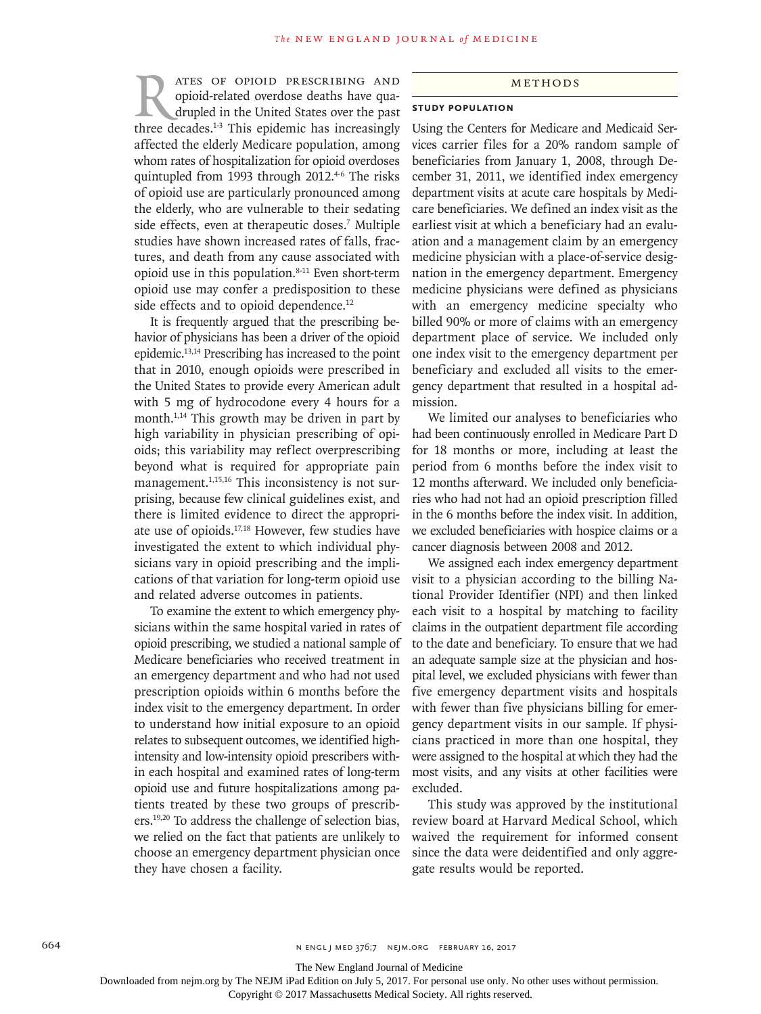**RATES OF OPIOID PRESCRIBING AND**<br>opioid-related overdose deaths have quadrupled in the United States over the past<br>three decades.<sup>1-3</sup> This epidemic has increasingly opioid-related overdose deaths have quadrupled in the United States over the past three decades.<sup>1-3</sup> This epidemic has increasingly affected the elderly Medicare population, among whom rates of hospitalization for opioid overdoses quintupled from 1993 through 2012.<sup>4-6</sup> The risks of opioid use are particularly pronounced among the elderly, who are vulnerable to their sedating side effects, even at therapeutic doses.<sup>7</sup> Multiple studies have shown increased rates of falls, fractures, and death from any cause associated with opioid use in this population.8-11 Even short-term opioid use may confer a predisposition to these side effects and to opioid dependence.<sup>12</sup>

It is frequently argued that the prescribing behavior of physicians has been a driver of the opioid epidemic.13,14 Prescribing has increased to the point that in 2010, enough opioids were prescribed in the United States to provide every American adult with 5 mg of hydrocodone every 4 hours for a month.<sup>1,14</sup> This growth may be driven in part by high variability in physician prescribing of opioids; this variability may reflect overprescribing beyond what is required for appropriate pain management.<sup>1,15,16</sup> This inconsistency is not surprising, because few clinical guidelines exist, and there is limited evidence to direct the appropriate use of opioids.17,18 However, few studies have investigated the extent to which individual physicians vary in opioid prescribing and the implications of that variation for long-term opioid use and related adverse outcomes in patients.

To examine the extent to which emergency physicians within the same hospital varied in rates of opioid prescribing, we studied a national sample of Medicare beneficiaries who received treatment in an emergency department and who had not used prescription opioids within 6 months before the index visit to the emergency department. In order to understand how initial exposure to an opioid relates to subsequent outcomes, we identified highintensity and low-intensity opioid prescribers within each hospital and examined rates of long-term opioid use and future hospitalizations among patients treated by these two groups of prescribers.19,20 To address the challenge of selection bias, we relied on the fact that patients are unlikely to choose an emergency department physician once they have chosen a facility.

#### Methods

## **Study Population**

Using the Centers for Medicare and Medicaid Services carrier files for a 20% random sample of beneficiaries from January 1, 2008, through December 31, 2011, we identified index emergency department visits at acute care hospitals by Medicare beneficiaries. We defined an index visit as the earliest visit at which a beneficiary had an evaluation and a management claim by an emergency medicine physician with a place-of-service designation in the emergency department. Emergency medicine physicians were defined as physicians with an emergency medicine specialty who billed 90% or more of claims with an emergency department place of service. We included only one index visit to the emergency department per beneficiary and excluded all visits to the emergency department that resulted in a hospital admission.

We limited our analyses to beneficiaries who had been continuously enrolled in Medicare Part D for 18 months or more, including at least the period from 6 months before the index visit to 12 months afterward. We included only beneficiaries who had not had an opioid prescription filled in the 6 months before the index visit. In addition, we excluded beneficiaries with hospice claims or a cancer diagnosis between 2008 and 2012.

We assigned each index emergency department visit to a physician according to the billing National Provider Identifier (NPI) and then linked each visit to a hospital by matching to facility claims in the outpatient department file according to the date and beneficiary. To ensure that we had an adequate sample size at the physician and hospital level, we excluded physicians with fewer than five emergency department visits and hospitals with fewer than five physicians billing for emergency department visits in our sample. If physicians practiced in more than one hospital, they were assigned to the hospital at which they had the most visits, and any visits at other facilities were excluded.

This study was approved by the institutional review board at Harvard Medical School, which waived the requirement for informed consent since the data were deidentified and only aggregate results would be reported.

The New England Journal of Medicine

Downloaded from nejm.org by The NEJM iPad Edition on July 5, 2017. For personal use only. No other uses without permission.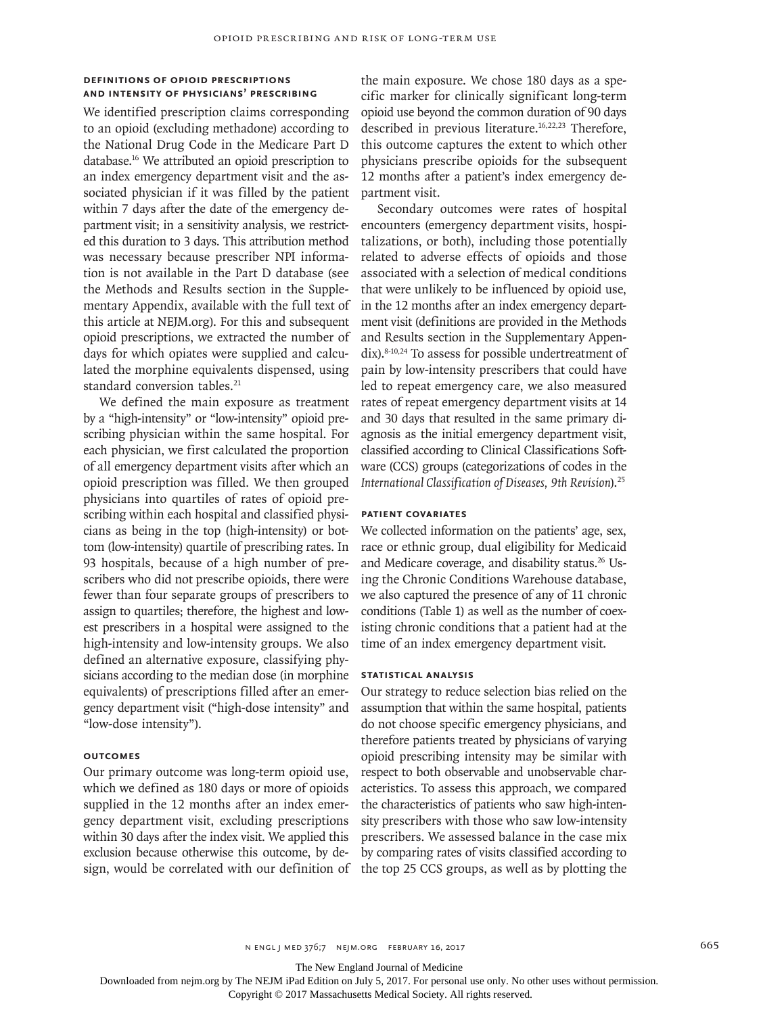## **Definitions of Opioid Prescriptions and Intensity of Physicians' Prescribing**

We identified prescription claims corresponding to an opioid (excluding methadone) according to the National Drug Code in the Medicare Part D database.16 We attributed an opioid prescription to an index emergency department visit and the associated physician if it was filled by the patient within 7 days after the date of the emergency department visit; in a sensitivity analysis, we restricted this duration to 3 days. This attribution method was necessary because prescriber NPI information is not available in the Part D database (see the Methods and Results section in the Supplementary Appendix, available with the full text of this article at NEJM.org). For this and subsequent opioid prescriptions, we extracted the number of days for which opiates were supplied and calculated the morphine equivalents dispensed, using standard conversion tables.<sup>21</sup>

We defined the main exposure as treatment by a "high-intensity" or "low-intensity" opioid prescribing physician within the same hospital. For each physician, we first calculated the proportion of all emergency department visits after which an opioid prescription was filled. We then grouped physicians into quartiles of rates of opioid prescribing within each hospital and classified physicians as being in the top (high-intensity) or bottom (low-intensity) quartile of prescribing rates. In 93 hospitals, because of a high number of prescribers who did not prescribe opioids, there were fewer than four separate groups of prescribers to assign to quartiles; therefore, the highest and lowest prescribers in a hospital were assigned to the high-intensity and low-intensity groups. We also defined an alternative exposure, classifying physicians according to the median dose (in morphine equivalents) of prescriptions filled after an emergency department visit ("high-dose intensity" and "low-dose intensity").

## **Outcomes**

Our primary outcome was long-term opioid use, which we defined as 180 days or more of opioids supplied in the 12 months after an index emergency department visit, excluding prescriptions within 30 days after the index visit. We applied this exclusion because otherwise this outcome, by design, would be correlated with our definition of the main exposure. We chose 180 days as a specific marker for clinically significant long-term opioid use beyond the common duration of 90 days described in previous literature.<sup>16,22,23</sup> Therefore, this outcome captures the extent to which other physicians prescribe opioids for the subsequent 12 months after a patient's index emergency department visit.

Secondary outcomes were rates of hospital encounters (emergency department visits, hospitalizations, or both), including those potentially related to adverse effects of opioids and those associated with a selection of medical conditions that were unlikely to be influenced by opioid use, in the 12 months after an index emergency department visit (definitions are provided in the Methods and Results section in the Supplementary Appendix).8-10,24 To assess for possible undertreatment of pain by low-intensity prescribers that could have led to repeat emergency care, we also measured rates of repeat emergency department visits at 14 and 30 days that resulted in the same primary diagnosis as the initial emergency department visit, classified according to Clinical Classifications Software (CCS) groups (categorizations of codes in the *International Classification of Diseases, 9th Revision*).25

## **Patient Covariates**

We collected information on the patients' age, sex, race or ethnic group, dual eligibility for Medicaid and Medicare coverage, and disability status.<sup>26</sup> Using the Chronic Conditions Warehouse database, we also captured the presence of any of 11 chronic conditions (Table 1) as well as the number of coexisting chronic conditions that a patient had at the time of an index emergency department visit.

## **Statistical Analysis**

Our strategy to reduce selection bias relied on the assumption that within the same hospital, patients do not choose specific emergency physicians, and therefore patients treated by physicians of varying opioid prescribing intensity may be similar with respect to both observable and unobservable characteristics. To assess this approach, we compared the characteristics of patients who saw high-intensity prescribers with those who saw low-intensity prescribers. We assessed balance in the case mix by comparing rates of visits classified according to the top 25 CCS groups, as well as by plotting the

n engl j med 376;7 nejm.org February 16, 2017 665

The New England Journal of Medicine

Downloaded from nejm.org by The NEJM iPad Edition on July 5, 2017. For personal use only. No other uses without permission.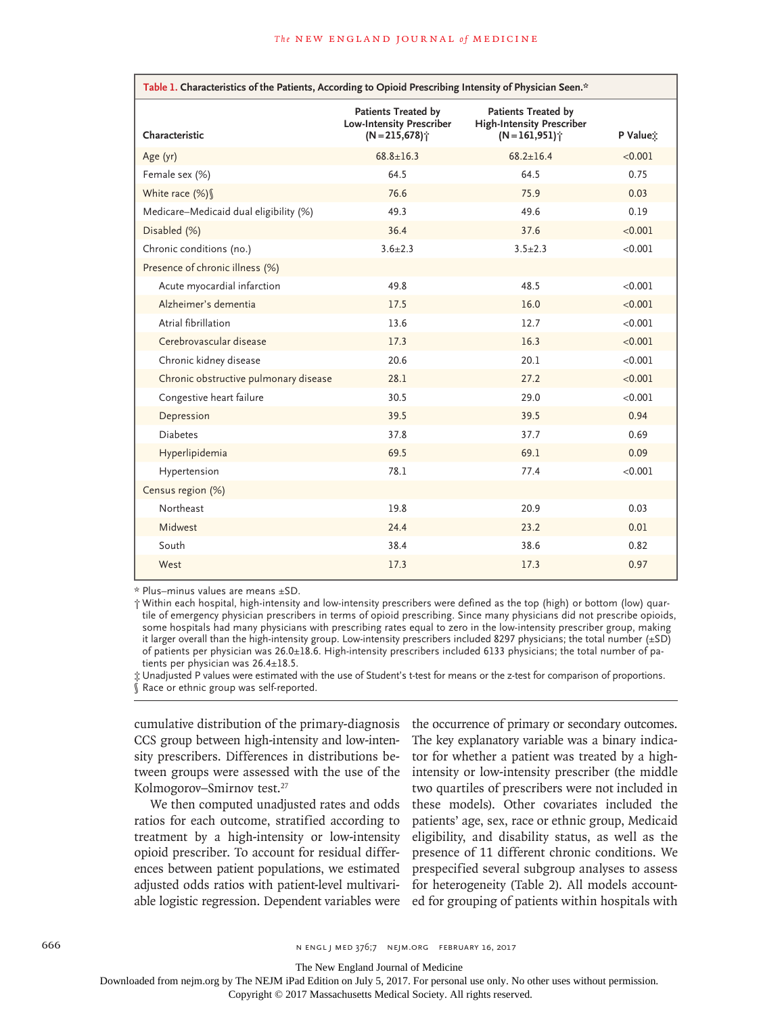| Table 1. Characteristics of the Patients, According to Opioid Prescribing Intensity of Physician Seen.* |                                                                                               |                                                                                              |          |  |  |
|---------------------------------------------------------------------------------------------------------|-----------------------------------------------------------------------------------------------|----------------------------------------------------------------------------------------------|----------|--|--|
| Characteristic                                                                                          | <b>Patients Treated by</b><br><b>Low-Intensity Prescriber</b><br>$(N = 215,678)$ <sup>*</sup> | <b>Patients Treated by</b><br><b>High-Intensity Prescriber</b><br>$(N=161,951)$ <sup>*</sup> | P Value: |  |  |
| Age (yr)                                                                                                | $68.8 \pm 16.3$                                                                               | $68.2 \pm 16.4$                                                                              | < 0.001  |  |  |
| Female sex (%)                                                                                          | 64.5                                                                                          | 64.5                                                                                         | 0.75     |  |  |
| White race (%) §                                                                                        | 76.6                                                                                          | 75.9                                                                                         | 0.03     |  |  |
| Medicare-Medicaid dual eligibility (%)                                                                  | 49.3                                                                                          | 49.6                                                                                         | 0.19     |  |  |
| Disabled (%)                                                                                            | 36.4                                                                                          | 37.6                                                                                         | < 0.001  |  |  |
| Chronic conditions (no.)                                                                                | $3.6 \pm 2.3$                                                                                 | $3.5 \pm 2.3$                                                                                | < 0.001  |  |  |
| Presence of chronic illness (%)                                                                         |                                                                                               |                                                                                              |          |  |  |
| Acute myocardial infarction                                                                             | 49.8                                                                                          | 48.5                                                                                         | < 0.001  |  |  |
| Alzheimer's dementia                                                                                    | 17.5                                                                                          | 16.0                                                                                         | < 0.001  |  |  |
| Atrial fibrillation                                                                                     | 13.6                                                                                          | 12.7                                                                                         | < 0.001  |  |  |
| Cerebrovascular disease                                                                                 | 17.3                                                                                          | 16.3                                                                                         | < 0.001  |  |  |
| Chronic kidney disease                                                                                  | 20.6                                                                                          | 20.1                                                                                         | < 0.001  |  |  |
| Chronic obstructive pulmonary disease                                                                   | 28.1                                                                                          | 27.2                                                                                         | < 0.001  |  |  |
| Congestive heart failure                                                                                | 30.5                                                                                          | 29.0                                                                                         | < 0.001  |  |  |
| Depression                                                                                              | 39.5                                                                                          | 39.5                                                                                         | 0.94     |  |  |
| <b>Diabetes</b>                                                                                         | 37.8                                                                                          | 37.7                                                                                         | 0.69     |  |  |
| Hyperlipidemia                                                                                          | 69.5                                                                                          | 69.1                                                                                         | 0.09     |  |  |
| Hypertension                                                                                            | 78.1                                                                                          | 77.4                                                                                         | < 0.001  |  |  |
| Census region (%)                                                                                       |                                                                                               |                                                                                              |          |  |  |
| Northeast                                                                                               | 19.8                                                                                          | 20.9                                                                                         | 0.03     |  |  |
| Midwest                                                                                                 | 24.4                                                                                          | 23.2                                                                                         | 0.01     |  |  |
| South                                                                                                   | 38.4                                                                                          | 38.6                                                                                         | 0.82     |  |  |
| West                                                                                                    | 17.3                                                                                          | 17.3                                                                                         | 0.97     |  |  |

\* Plus–minus values are means ±SD.

† Within each hospital, high-intensity and low-intensity prescribers were defined as the top (high) or bottom (low) quartile of emergency physician prescribers in terms of opioid prescribing. Since many physicians did not prescribe opioids, some hospitals had many physicians with prescribing rates equal to zero in the low-intensity prescriber group, making it larger overall than the high-intensity group. Low-intensity prescribers included 8297 physicians; the total number (±SD) of patients per physician was 26.0±18.6. High-intensity prescribers included 6133 physicians; the total number of patients per physician was 26.4±18.5.

‡ Unadjusted P values were estimated with the use of Student's t-test for means or the z-test for comparison of proportions. Race or ethnic group was self-reported.

cumulative distribution of the primary-diagnosis CCS group between high-intensity and low-intensity prescribers. Differences in distributions between groups were assessed with the use of the Kolmogorov–Smirnov test.27

We then computed unadjusted rates and odds ratios for each outcome, stratified according to treatment by a high-intensity or low-intensity opioid prescriber. To account for residual differences between patient populations, we estimated adjusted odds ratios with patient-level multivariable logistic regression. Dependent variables were

the occurrence of primary or secondary outcomes. The key explanatory variable was a binary indicator for whether a patient was treated by a highintensity or low-intensity prescriber (the middle two quartiles of prescribers were not included in these models). Other covariates included the patients' age, sex, race or ethnic group, Medicaid eligibility, and disability status, as well as the presence of 11 different chronic conditions. We prespecified several subgroup analyses to assess for heterogeneity (Table 2). All models accounted for grouping of patients within hospitals with

666 n engl j med 376;7 nejm.org February 16, 2017

The New England Journal of Medicine

Downloaded from nejm.org by The NEJM iPad Edition on July 5, 2017. For personal use only. No other uses without permission.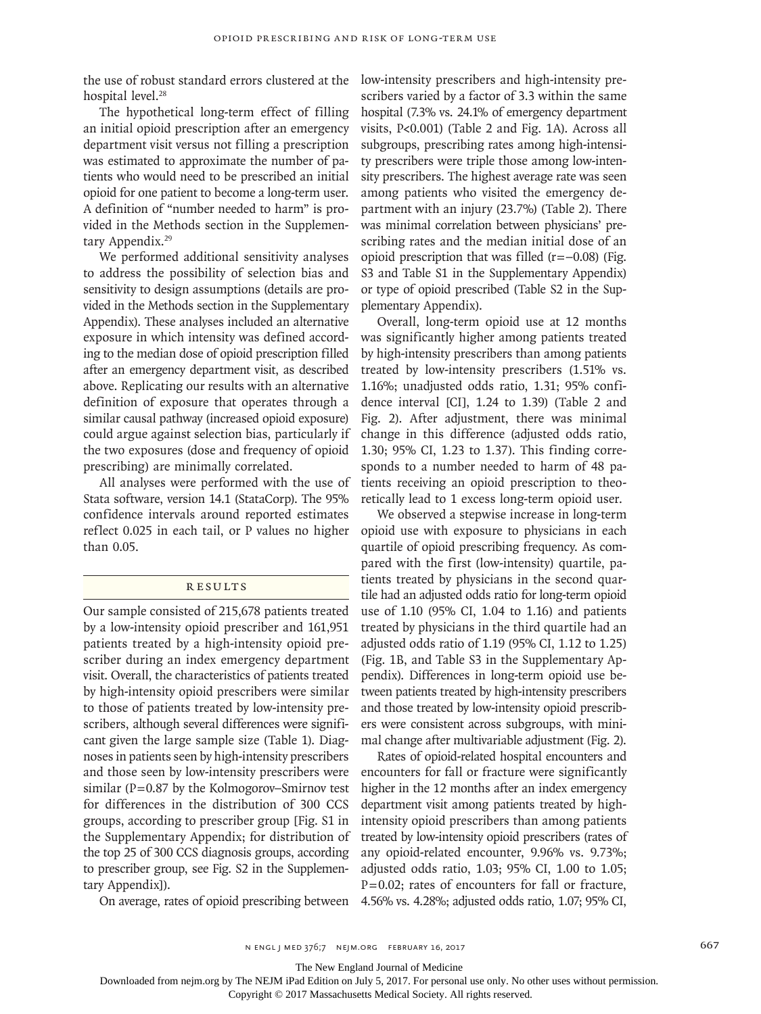the use of robust standard errors clustered at the low-intensity prescribers and high-intensity prehospital level.<sup>28</sup>

The hypothetical long-term effect of filling an initial opioid prescription after an emergency department visit versus not filling a prescription was estimated to approximate the number of patients who would need to be prescribed an initial opioid for one patient to become a long-term user. A definition of "number needed to harm" is provided in the Methods section in the Supplementary Appendix.<sup>29</sup>

We performed additional sensitivity analyses to address the possibility of selection bias and sensitivity to design assumptions (details are provided in the Methods section in the Supplementary Appendix). These analyses included an alternative exposure in which intensity was defined according to the median dose of opioid prescription filled after an emergency department visit, as described above. Replicating our results with an alternative definition of exposure that operates through a similar causal pathway (increased opioid exposure) could argue against selection bias, particularly if the two exposures (dose and frequency of opioid prescribing) are minimally correlated.

All analyses were performed with the use of Stata software, version 14.1 (StataCorp). The 95% confidence intervals around reported estimates reflect 0.025 in each tail, or P values no higher than 0.05.

## **RESULTS**

Our sample consisted of 215,678 patients treated by a low-intensity opioid prescriber and 161,951 patients treated by a high-intensity opioid prescriber during an index emergency department visit. Overall, the characteristics of patients treated by high-intensity opioid prescribers were similar to those of patients treated by low-intensity prescribers, although several differences were significant given the large sample size (Table 1). Diagnoses in patients seen by high-intensity prescribers and those seen by low-intensity prescribers were similar ( $P=0.87$  by the Kolmogorov–Smirnov test for differences in the distribution of 300 CCS groups, according to prescriber group [Fig. S1 in the Supplementary Appendix; for distribution of the top 25 of 300 CCS diagnosis groups, according to prescriber group, see Fig. S2 in the Supplementary Appendix]).

On average, rates of opioid prescribing between 4.56% vs. 4.28%; adjusted odds ratio, 1.07; 95% CI,

scribers varied by a factor of 3.3 within the same hospital (7.3% vs. 24.1% of emergency department visits, P<0.001) (Table 2 and Fig. 1A). Across all subgroups, prescribing rates among high-intensity prescribers were triple those among low-intensity prescribers. The highest average rate was seen among patients who visited the emergency department with an injury (23.7%) (Table 2). There was minimal correlation between physicians' prescribing rates and the median initial dose of an opioid prescription that was filled (r=−0.08) (Fig. S3 and Table S1 in the Supplementary Appendix) or type of opioid prescribed (Table S2 in the Supplementary Appendix).

Overall, long-term opioid use at 12 months was significantly higher among patients treated by high-intensity prescribers than among patients treated by low-intensity prescribers (1.51% vs. 1.16%; unadjusted odds ratio, 1.31; 95% confidence interval [CI], 1.24 to 1.39) (Table 2 and Fig. 2). After adjustment, there was minimal change in this difference (adjusted odds ratio, 1.30; 95% CI, 1.23 to 1.37). This finding corresponds to a number needed to harm of 48 patients receiving an opioid prescription to theoretically lead to 1 excess long-term opioid user.

We observed a stepwise increase in long-term opioid use with exposure to physicians in each quartile of opioid prescribing frequency. As compared with the first (low-intensity) quartile, patients treated by physicians in the second quartile had an adjusted odds ratio for long-term opioid use of 1.10 (95% CI, 1.04 to 1.16) and patients treated by physicians in the third quartile had an adjusted odds ratio of 1.19 (95% CI, 1.12 to 1.25) (Fig. 1B, and Table S3 in the Supplementary Appendix). Differences in long-term opioid use between patients treated by high-intensity prescribers and those treated by low-intensity opioid prescribers were consistent across subgroups, with minimal change after multivariable adjustment (Fig. 2).

Rates of opioid-related hospital encounters and encounters for fall or fracture were significantly higher in the 12 months after an index emergency department visit among patients treated by highintensity opioid prescribers than among patients treated by low-intensity opioid prescribers (rates of any opioid-related encounter, 9.96% vs. 9.73%; adjusted odds ratio, 1.03; 95% CI, 1.00 to 1.05;  $P=0.02$ ; rates of encounters for fall or fracture,

The New England Journal of Medicine

Downloaded from nejm.org by The NEJM iPad Edition on July 5, 2017. For personal use only. No other uses without permission.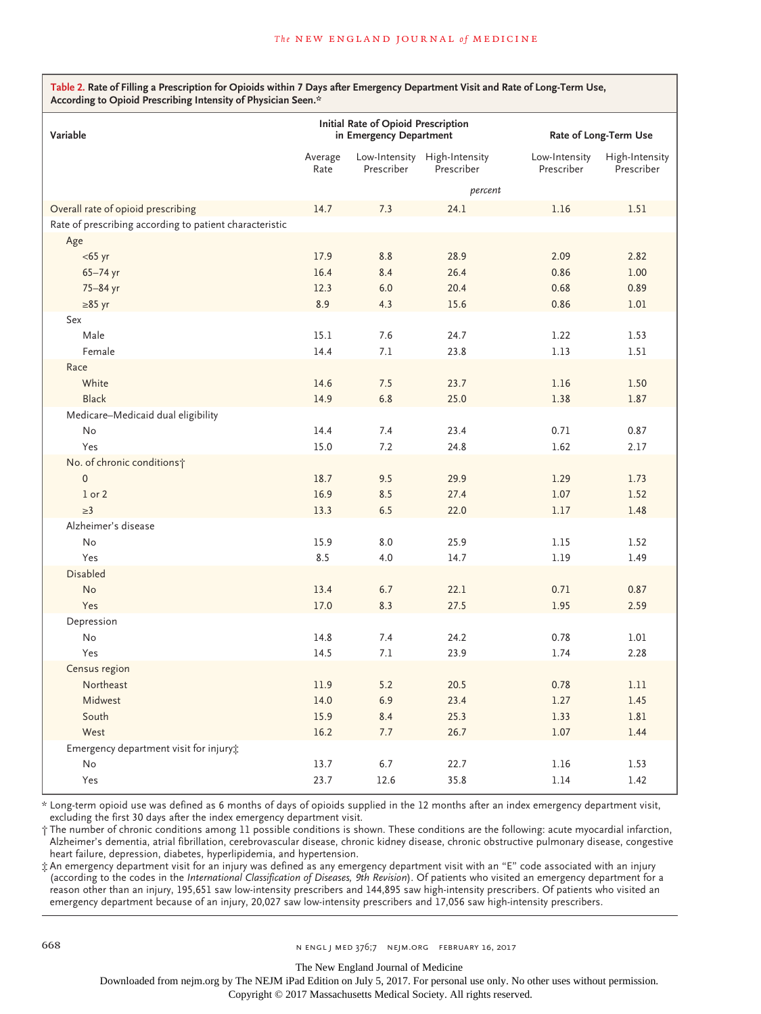**Table 2. Rate of Filling a Prescription for Opioids within 7 Days after Emergency Department Visit and Rate of Long-Term Use, According to Opioid Prescribing Intensity of Physician Seen.\***

| Variable                                                | Initial Rate of Opioid Prescription<br>in Emergency Department |            |                                            | Rate of Long-Term Use       |                              |  |
|---------------------------------------------------------|----------------------------------------------------------------|------------|--------------------------------------------|-----------------------------|------------------------------|--|
|                                                         | Average<br>Rate                                                | Prescriber | Low-Intensity High-Intensity<br>Prescriber | Low-Intensity<br>Prescriber | High-Intensity<br>Prescriber |  |
|                                                         | percent                                                        |            |                                            |                             |                              |  |
| Overall rate of opioid prescribing                      | 14.7                                                           | 7.3        | 24.1                                       | 1.16                        | 1.51                         |  |
| Rate of prescribing according to patient characteristic |                                                                |            |                                            |                             |                              |  |
| Age                                                     |                                                                |            |                                            |                             |                              |  |
| $<$ 65 yr                                               | 17.9                                                           | 8.8        | 28.9                                       | 2.09                        | 2.82                         |  |
| 65-74 yr                                                | 16.4                                                           | 8.4        | 26.4                                       | 0.86                        | 1.00                         |  |
| 75-84 yr                                                | 12.3                                                           | 6.0        | 20.4                                       | 0.68                        | 0.89                         |  |
| $\geq 85$ yr                                            | 8.9                                                            | 4.3        | 15.6                                       | 0.86                        | 1.01                         |  |
| Sex                                                     |                                                                |            |                                            |                             |                              |  |
| Male                                                    | 15.1                                                           | 7.6        | 24.7                                       | 1.22                        | 1.53                         |  |
| Female                                                  | 14.4                                                           | 7.1        | 23.8                                       | 1.13                        | 1.51                         |  |
| Race                                                    |                                                                |            |                                            |                             |                              |  |
| White                                                   | 14.6                                                           | 7.5        | 23.7                                       | 1.16                        | 1.50                         |  |
| <b>Black</b>                                            | 14.9                                                           | 6.8        | 25.0                                       | 1.38                        | 1.87                         |  |
| Medicare-Medicaid dual eligibility                      |                                                                |            |                                            |                             |                              |  |
| No                                                      | 14.4                                                           | 7.4        | 23.4                                       | 0.71                        | 0.87                         |  |
| Yes                                                     | 15.0                                                           | 7.2        | 24.8                                       | 1.62                        | 2.17                         |  |
| No. of chronic conditions;                              |                                                                |            |                                            |                             |                              |  |
| $\mathbf 0$                                             | 18.7                                                           | 9.5        | 29.9                                       | 1.29                        | 1.73                         |  |
| $1$ or $2$                                              | 16.9                                                           | 8.5        | 27.4                                       | 1.07                        | 1.52                         |  |
| $\geq$ 3                                                | 13.3                                                           | 6.5        | 22.0                                       | 1.17                        | 1.48                         |  |
| Alzheimer's disease                                     |                                                                |            |                                            |                             |                              |  |
| No                                                      | 15.9                                                           | 8.0        | 25.9                                       | 1.15                        | 1.52                         |  |
| Yes                                                     | 8.5                                                            | 4.0        | 14.7                                       | 1.19                        | 1.49                         |  |
| <b>Disabled</b>                                         |                                                                |            |                                            |                             |                              |  |
| <b>No</b>                                               | 13.4                                                           | 6.7        | 22.1                                       | 0.71                        | 0.87                         |  |
| Yes                                                     | 17.0                                                           | 8.3        | 27.5                                       | 1.95                        | 2.59                         |  |
| Depression                                              |                                                                |            |                                            |                             |                              |  |
| No                                                      | 14.8                                                           | 7.4        | 24.2                                       | 0.78                        | 1.01                         |  |
| Yes                                                     | 14.5                                                           | 7.1        | 23.9                                       | 1.74                        | 2.28                         |  |
| Census region                                           |                                                                |            |                                            |                             |                              |  |
| Northeast                                               | 11.9                                                           | 5.2        | 20.5                                       | 0.78                        | 1.11                         |  |
| Midwest                                                 | 14.0                                                           | 6.9        | 23.4                                       | 1.27                        | 1.45                         |  |
| South                                                   | 15.9                                                           | 8.4        | 25.3                                       | 1.33                        | 1.81                         |  |
| West                                                    | 16.2                                                           | 7.7        | 26.7                                       | 1.07                        | 1.44                         |  |
| Emergency department visit for injury;                  |                                                                |            |                                            |                             |                              |  |
| No                                                      | 13.7                                                           | 6.7        | 22.7                                       | 1.16                        | 1.53                         |  |
| Yes                                                     | 23.7                                                           | 12.6       | 35.8                                       | 1.14                        | 1.42                         |  |

\* Long-term opioid use was defined as 6 months of days of opioids supplied in the 12 months after an index emergency department visit, excluding the first 30 days after the index emergency department visit.

† The number of chronic conditions among 11 possible conditions is shown. These conditions are the following: acute myocardial infarction, Alzheimer's dementia, atrial fibrillation, cerebrovascular disease, chronic kidney disease, chronic obstructive pulmonary disease, congestive heart failure, depression, diabetes, hyperlipidemia, and hypertension.

‡ An emergency department visit for an injury was defined as any emergency department visit with an "E" code associated with an injury (according to the codes in the *International Classification of Diseases, 9th Revision*). Of patients who visited an emergency department for a reason other than an injury, 195,651 saw low-intensity prescribers and 144,895 saw high-intensity prescribers. Of patients who visited an emergency department because of an injury, 20,027 saw low-intensity prescribers and 17,056 saw high-intensity prescribers.

The New England Journal of Medicine

Downloaded from nejm.org by The NEJM iPad Edition on July 5, 2017. For personal use only. No other uses without permission.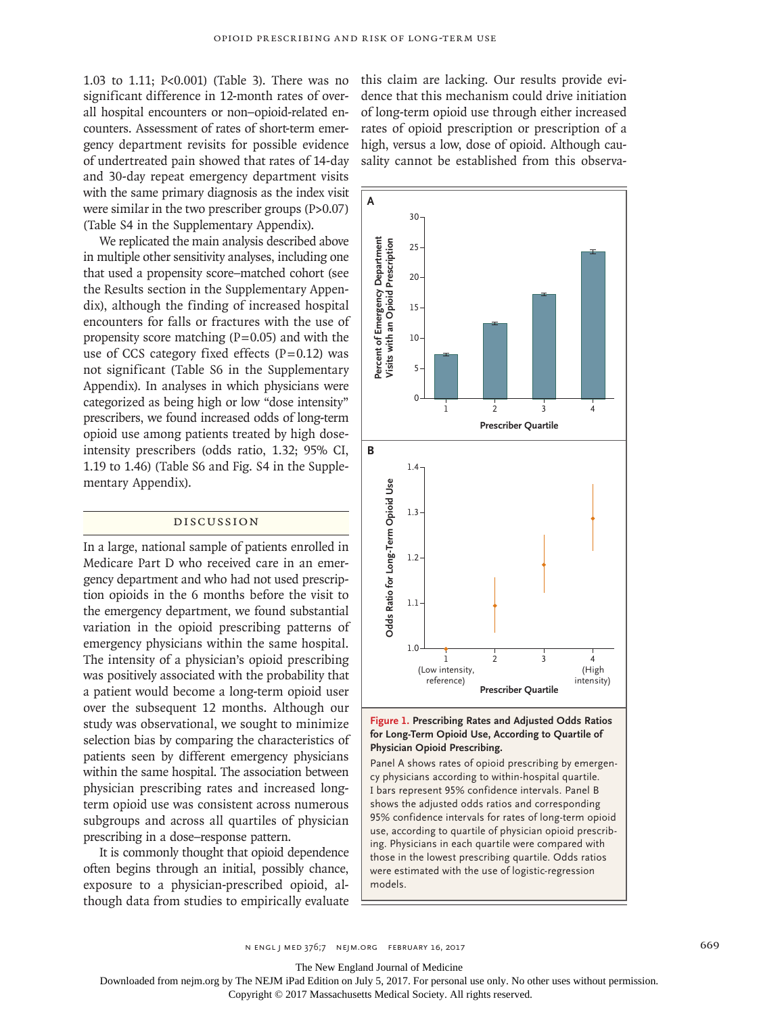1.03 to 1.11; P<0.001) (Table 3). There was no significant difference in 12-month rates of overall hospital encounters or non–opioid-related encounters. Assessment of rates of short-term emergency department revisits for possible evidence of undertreated pain showed that rates of 14-day and 30-day repeat emergency department visits with the same primary diagnosis as the index visit were similar in the two prescriber groups (P>0.07) (Table S4 in the Supplementary Appendix).

We replicated the main analysis described above in multiple other sensitivity analyses, including one that used a propensity score–matched cohort (see the Results section in the Supplementary Appendix), although the finding of increased hospital encounters for falls or fractures with the use of propensity score matching  $(P=0.05)$  and with the use of CCS category fixed effects  $(P=0.12)$  was not significant (Table S6 in the Supplementary Appendix). In analyses in which physicians were categorized as being high or low "dose intensity" prescribers, we found increased odds of long-term opioid use among patients treated by high doseintensity prescribers (odds ratio, 1.32; 95% CI, 1.19 to 1.46) (Table S6 and Fig. S4 in the Supplementary Appendix).

#### Discussion

In a large, national sample of patients enrolled in Medicare Part D who received care in an emergency department and who had not used prescription opioids in the 6 months before the visit to the emergency department, we found substantial variation in the opioid prescribing patterns of emergency physicians within the same hospital. The intensity of a physician's opioid prescribing was positively associated with the probability that a patient would become a long-term opioid user over the subsequent 12 months. Although our study was observational, we sought to minimize selection bias by comparing the characteristics of patients seen by different emergency physicians within the same hospital. The association between physician prescribing rates and increased longterm opioid use was consistent across numerous subgroups and across all quartiles of physician prescribing in a dose–response pattern.

It is commonly thought that opioid dependence often begins through an initial, possibly chance, exposure to a physician-prescribed opioid, although data from studies to empirically evaluate this claim are lacking. Our results provide evidence that this mechanism could drive initiation of long-term opioid use through either increased rates of opioid prescription or prescription of a high, versus a low, dose of opioid. Although causality cannot be established from this observa-



## **Figure 1. Prescribing Rates and Adjusted Odds Ratios for Long-Term Opioid Use, According to Quartile of Physician Opioid Prescribing.**

Panel A shows rates of opioid prescribing by emergency physicians according to within-hospital quartile. I bars represent 95% confidence intervals. Panel B shows the adjusted odds ratios and corresponding 95% confidence intervals for rates of long-term opioid use, according to quartile of physician opioid prescribing. Physicians in each quartile were compared with those in the lowest prescribing quartile. Odds ratios were estimated with the use of logistic-regression models.

n engl j med 376;7 nejm.org February 16, 2017 669

The New England Journal of Medicine

Downloaded from nejm.org by The NEJM iPad Edition on July 5, 2017. For personal use only. No other uses without permission.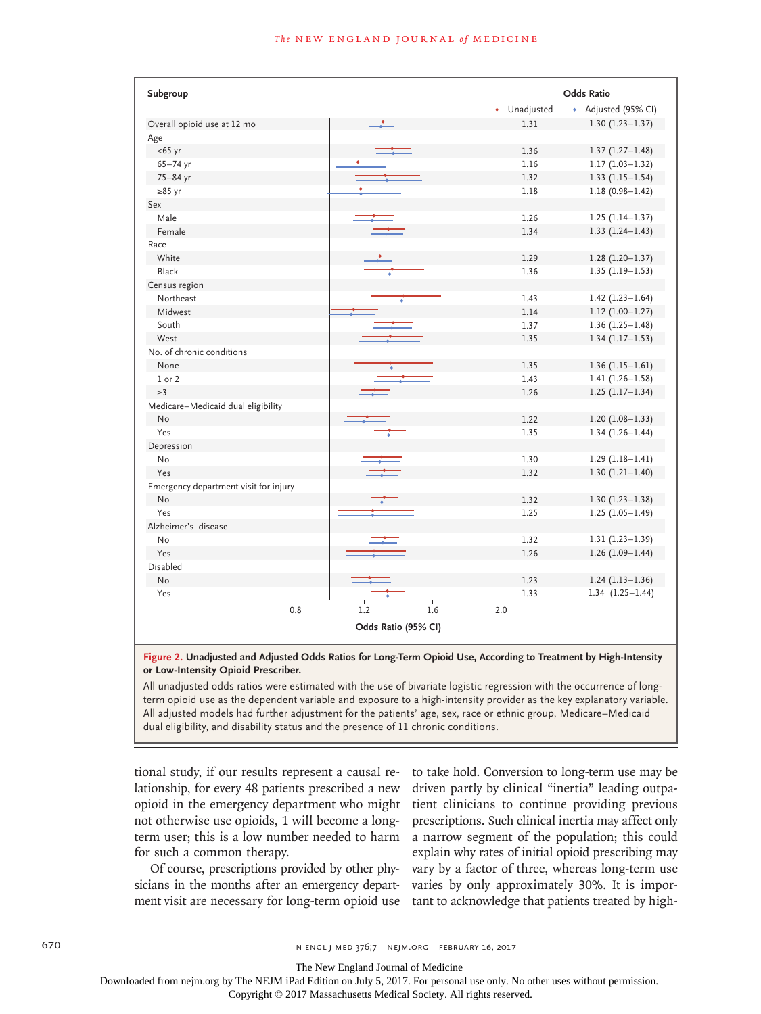| Subgroup                              |            |                     |     |               | <b>Odds Ratio</b>    |
|---------------------------------------|------------|---------------------|-----|---------------|----------------------|
|                                       |            |                     |     | -- Unadjusted | - Adjusted (95% CI)  |
| Overall opioid use at 12 mo           |            |                     |     | 1.31          | $1.30(1.23 - 1.37)$  |
| Age                                   |            |                     |     |               |                      |
| $<$ 65 yr                             |            |                     |     | 1.36          | $1.37(1.27 - 1.48)$  |
| $65 - 74$ yr                          |            |                     |     | 1.16          | $1.17(1.03 - 1.32)$  |
| 75-84 yr                              |            |                     |     | 1.32          | $1.33(1.15-1.54)$    |
| $\geq 85$ yr                          |            |                     |     | 1.18          | $1.18(0.98 - 1.42)$  |
| Sex                                   |            |                     |     |               |                      |
| Male                                  |            |                     |     | 1.26          | $1.25(1.14-1.37)$    |
| Female                                |            |                     |     | 1.34          | $1.33(1.24 - 1.43)$  |
| Race                                  |            |                     |     |               |                      |
| White                                 |            |                     |     | 1.29          | $1.28(1.20-1.37)$    |
| Black                                 |            |                     |     | 1.36          | $1.35(1.19-1.53)$    |
| Census region                         |            |                     |     |               |                      |
| Northeast                             |            |                     |     | 1.43          | $1.42(1.23 - 1.64)$  |
| Midwest                               |            |                     |     | 1.14          | $1.12(1.00-1.27)$    |
| South                                 |            |                     |     | 1.37          | $1.36(1.25-1.48)$    |
| West                                  |            |                     |     | 1.35          | $1.34(1.17-1.53)$    |
| No. of chronic conditions             |            |                     |     |               |                      |
| None                                  |            |                     |     | 1.35          | $1.36(1.15-1.61)$    |
| $1$ or $2$                            |            |                     |     | 1.43          | $1.41(1.26 - 1.58)$  |
| $\geq$ 3                              |            |                     |     | 1.26          | $1.25(1.17-1.34)$    |
| Medicare-Medicaid dual eligibility    |            |                     |     |               |                      |
| No                                    |            |                     |     | 1.22          | $1.20(1.08-1.33)$    |
| Yes                                   |            |                     |     | 1.35          | $1.34(1.26 - 1.44)$  |
| Depression                            |            |                     |     |               |                      |
| N <sub>o</sub>                        |            |                     |     | 1.30          | $1.29(1.18-1.41)$    |
| Yes                                   |            |                     |     | 1.32          | $1.30(1.21 - 1.40)$  |
| Emergency department visit for injury |            |                     |     |               |                      |
| <b>No</b>                             |            |                     |     | 1.32          | $1.30(1.23 - 1.38)$  |
| Yes                                   |            |                     |     | 1.25          | $1.25(1.05-1.49)$    |
| Alzheimer's disease                   |            |                     |     |               |                      |
| No                                    |            |                     |     | 1.32          | $1.31(1.23 - 1.39)$  |
| Yes                                   |            |                     |     | 1.26          | $1.26(1.09-1.44)$    |
| Disabled                              |            |                     |     |               |                      |
| <b>No</b>                             |            |                     |     | 1.23          | $1.24(1.13-1.36)$    |
| Yes                                   |            |                     |     | 1.33          | $1.34$ $(1.25-1.44)$ |
|                                       | 0.8<br>1.2 | 1.6                 | 2.0 |               |                      |
|                                       |            |                     |     |               |                      |
|                                       |            | Odds Ratio (95% CI) |     |               |                      |

## **Figure 2. Unadjusted and Adjusted Odds Ratios for Long-Term Opioid Use, According to Treatment by High-Intensity or Low-Intensity Opioid Prescriber.**

All unadjusted odds ratios were estimated with the use of bivariate logistic regression with the occurrence of longterm opioid use as the dependent variable and exposure to a high-intensity provider as the key explanatory variable. All adjusted models had further adjustment for the patients' age, sex, race or ethnic group, Medicare–Medicaid dual eligibility, and disability status and the presence of 11 chronic conditions.

tional study, if our results represent a causal relationship, for every 48 patients prescribed a new opioid in the emergency department who might not otherwise use opioids, 1 will become a longterm user; this is a low number needed to harm for such a common therapy.

Of course, prescriptions provided by other physicians in the months after an emergency department visit are necessary for long-term opioid use to take hold. Conversion to long-term use may be driven partly by clinical "inertia" leading outpatient clinicians to continue providing previous prescriptions. Such clinical inertia may affect only a narrow segment of the population; this could explain why rates of initial opioid prescribing may vary by a factor of three, whereas long-term use varies by only approximately 30%. It is important to acknowledge that patients treated by high-

670 n engl j med 376;7 nejm.org February 16, 2017

The New England Journal of Medicine

Downloaded from nejm.org by The NEJM iPad Edition on July 5, 2017. For personal use only. No other uses without permission.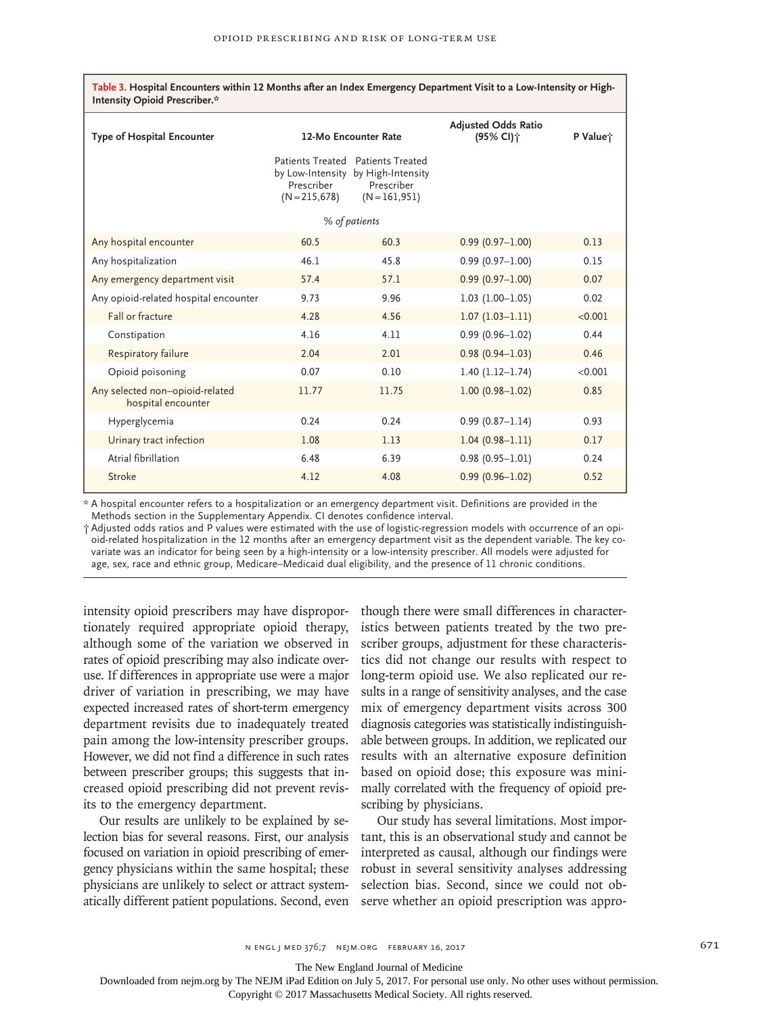| Table 3. Hospital Encounters within 12 Months after an Index Emergency Department Visit to a Low-Intensity or High-<br>Intensity Opioid Prescriber.* |                                |                                                                                                           |                                                     |          |  |  |
|------------------------------------------------------------------------------------------------------------------------------------------------------|--------------------------------|-----------------------------------------------------------------------------------------------------------|-----------------------------------------------------|----------|--|--|
| <b>Type of Hospital Encounter</b>                                                                                                                    | 12-Mo Encounter Rate           |                                                                                                           | <b>Adjusted Odds Ratio</b><br>(95% CI) <sup>*</sup> | P Value; |  |  |
|                                                                                                                                                      | Prescriber<br>$(N = 215, 678)$ | Patients Treated Patients Treated<br>by Low-Intensity by High-Intensity<br>Prescriber<br>$(N = 161, 951)$ |                                                     |          |  |  |
| % of patients                                                                                                                                        |                                |                                                                                                           |                                                     |          |  |  |
| Any hospital encounter                                                                                                                               | 60.5                           | 60.3                                                                                                      | $0.99(0.97 - 1.00)$                                 | 0.13     |  |  |
| Any hospitalization                                                                                                                                  | 46.1                           | 45.8                                                                                                      | $0.99(0.97 - 1.00)$                                 | 0.15     |  |  |
| Any emergency department visit                                                                                                                       | 57.4                           | 57.1                                                                                                      | $0.99(0.97 - 1.00)$                                 | 0.07     |  |  |
| Any opioid-related hospital encounter                                                                                                                | 9.73                           | 9.96                                                                                                      | $1.03(1.00-1.05)$                                   | 0.02     |  |  |
| Fall or fracture                                                                                                                                     | 4.28                           | 4.56                                                                                                      | $1.07(1.03 - 1.11)$                                 | < 0.001  |  |  |
| Constipation                                                                                                                                         | 4.16                           | 4.11                                                                                                      | $0.99(0.96 - 1.02)$                                 | 0.44     |  |  |
| Respiratory failure                                                                                                                                  | 2.04                           | 2.01                                                                                                      | $0.98(0.94 - 1.03)$                                 | 0.46     |  |  |
| Opioid poisoning                                                                                                                                     | 0.07                           | 0.10                                                                                                      | $1.40(1.12 - 1.74)$                                 | < 0.001  |  |  |
| Any selected non-opioid-related<br>hospital encounter                                                                                                | 11.77                          | 11.75                                                                                                     | $1.00(0.98 - 1.02)$                                 | 0.85     |  |  |
| Hyperglycemia                                                                                                                                        | 0.24                           | 0.24                                                                                                      | $0.99(0.87 - 1.14)$                                 | 0.93     |  |  |
| Urinary tract infection                                                                                                                              | 1.08                           | 1.13                                                                                                      | $1.04(0.98 - 1.11)$                                 | 0.17     |  |  |
| Atrial fibrillation                                                                                                                                  | 6.48                           | 6.39                                                                                                      | $0.98(0.95 - 1.01)$                                 | 0.24     |  |  |
| Stroke                                                                                                                                               | 4.12                           | 4.08                                                                                                      | $0.99(0.96 - 1.02)$                                 | 0.52     |  |  |

\* A hospital encounter refers to a hospitalization or an emergency department visit. Definitions are provided in the Methods section in the Supplementary Appendix. CI denotes confidence interval.

† Adjusted odds ratios and P values were estimated with the use of logistic-regression models with occurrence of an opioid-related hospitalization in the 12 months after an emergency department visit as the dependent variable. The key covariate was an indicator for being seen by a high-intensity or a low-intensity prescriber. All models were adjusted for age, sex, race and ethnic group, Medicare–Medicaid dual eligibility, and the presence of 11 chronic conditions.

intensity opioid prescribers may have disproportionately required appropriate opioid therapy, although some of the variation we observed in rates of opioid prescribing may also indicate overuse. If differences in appropriate use were a major driver of variation in prescribing, we may have expected increased rates of short-term emergency department revisits due to inadequately treated pain among the low-intensity prescriber groups. However, we did not find a difference in such rates between prescriber groups; this suggests that increased opioid prescribing did not prevent revisits to the emergency department.

Our results are unlikely to be explained by selection bias for several reasons. First, our analysis focused on variation in opioid prescribing of emergency physicians within the same hospital; these physicians are unlikely to select or attract systematically different patient populations. Second, even

though there were small differences in characteristics between patients treated by the two prescriber groups, adjustment for these characteristics did not change our results with respect to long-term opioid use. We also replicated our results in a range of sensitivity analyses, and the case mix of emergency department visits across 300 diagnosis categories was statistically indistinguishable between groups. In addition, we replicated our results with an alternative exposure definition based on opioid dose; this exposure was minimally correlated with the frequency of opioid prescribing by physicians.

Our study has several limitations. Most important, this is an observational study and cannot be interpreted as causal, although our findings were robust in several sensitivity analyses addressing selection bias. Second, since we could not observe whether an opioid prescription was appro-

The New England Journal of Medicine

Downloaded from nejm.org by The NEJM iPad Edition on July 5, 2017. For personal use only. No other uses without permission.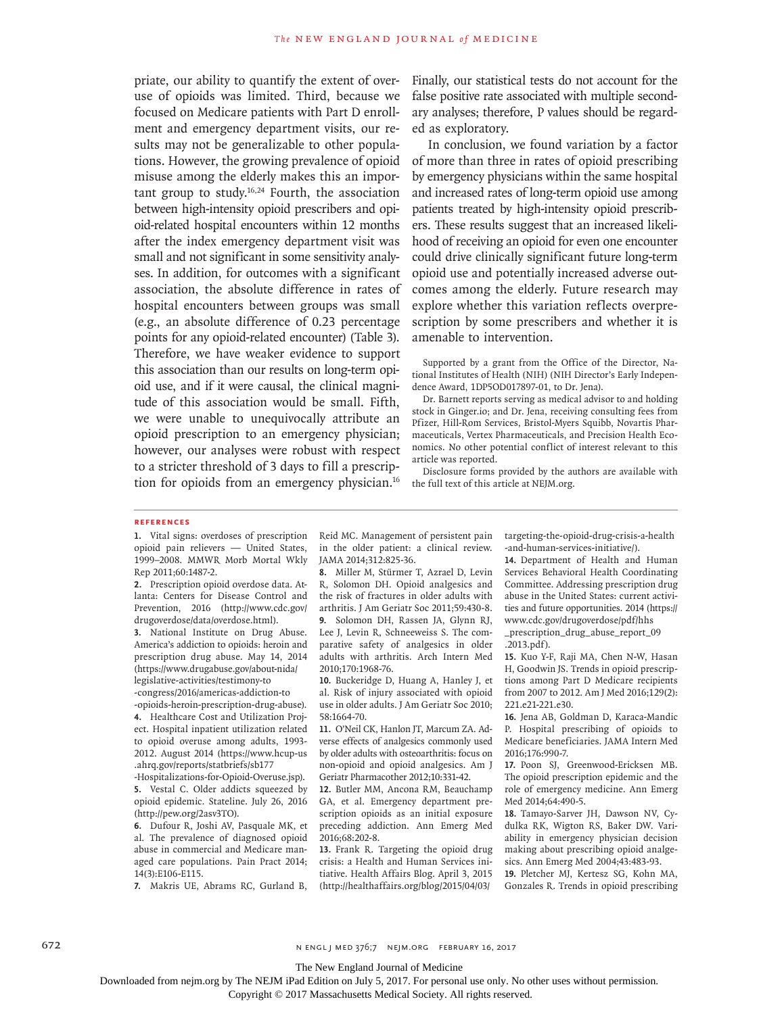priate, our ability to quantify the extent of overuse of opioids was limited. Third, because we focused on Medicare patients with Part D enrollment and emergency department visits, our results may not be generalizable to other populations. However, the growing prevalence of opioid misuse among the elderly makes this an important group to study. $16,24$  Fourth, the association between high-intensity opioid prescribers and opioid-related hospital encounters within 12 months after the index emergency department visit was small and not significant in some sensitivity analyses. In addition, for outcomes with a significant association, the absolute difference in rates of hospital encounters between groups was small (e.g., an absolute difference of 0.23 percentage points for any opioid-related encounter) (Table 3). Therefore, we have weaker evidence to support this association than our results on long-term opioid use, and if it were causal, the clinical magnitude of this association would be small. Fifth, we were unable to unequivocally attribute an opioid prescription to an emergency physician; however, our analyses were robust with respect to a stricter threshold of 3 days to fill a prescription for opioids from an emergency physician.<sup>16</sup>

Finally, our statistical tests do not account for the false positive rate associated with multiple secondary analyses; therefore, P values should be regarded as exploratory.

In conclusion, we found variation by a factor of more than three in rates of opioid prescribing by emergency physicians within the same hospital and increased rates of long-term opioid use among patients treated by high-intensity opioid prescribers. These results suggest that an increased likelihood of receiving an opioid for even one encounter could drive clinically significant future long-term opioid use and potentially increased adverse outcomes among the elderly. Future research may explore whether this variation reflects overprescription by some prescribers and whether it is amenable to intervention.

Supported by a grant from the Office of the Director, National Institutes of Health (NIH) (NIH Director's Early Independence Award, 1DP5OD017897-01, to Dr. Jena).

Dr. Barnett reports serving as medical advisor to and holding stock in Ginger.io; and Dr. Jena, receiving consulting fees from Pfizer, Hill-Rom Services, Bristol-Myers Squibb, Novartis Pharmaceuticals, Vertex Pharmaceuticals, and Precision Health Economics. No other potential conflict of interest relevant to this article was reported.

Disclosure forms provided by the authors are available with the full text of this article at NEJM.org.

#### **References**

**1.** Vital signs: overdoses of prescription opioid pain relievers — United States, 1999–2008. MMWR Morb Mortal Wkly Rep 2011;60:1487-2.

**2.** Prescription opioid overdose data. Atlanta: Centers for Disease Control and Prevention, 2016 (http://www.cdc.gov/ drugoverdose/data/overdose.html).

**3.** National Institute on Drug Abuse. America's addiction to opioids: heroin and prescription drug abuse. May 14, 2014 (https://www.drugabuse.gov/about-nida/ legislative-activities/testimony-to -congress/2016/americas-addiction-to

-opioids-heroin-prescription-drug-abuse). **4.** Healthcare Cost and Utilization Project. Hospital inpatient utilization related to opioid overuse among adults, 1993- 2012. August 2014 (https://www.hcup-us .ahrq.gov/reports/statbriefs/sb177

-Hospitalizations-for-Opioid-Overuse.jsp). **5.** Vestal C. Older addicts squeezed by opioid epidemic. Stateline. July 26, 2016 (http://pew.org/2asv3TO).

**6.** Dufour R, Joshi AV, Pasquale MK, et al. The prevalence of diagnosed opioid abuse in commercial and Medicare managed care populations. Pain Pract 2014; 14(3):E106-E115.

**7.** Makris UE, Abrams RC, Gurland B,

Reid MC. Management of persistent pain in the older patient: a clinical review. JAMA 2014;312:825-36.

**8.** Miller M, Stürmer T, Azrael D, Levin R, Solomon DH. Opioid analgesics and the risk of fractures in older adults with arthritis. J Am Geriatr Soc 2011;59:430-8. **9.** Solomon DH, Rassen JA, Glynn RJ, Lee J, Levin R, Schneeweiss S. The comparative safety of analgesics in older adults with arthritis. Arch Intern Med 2010;170:1968-76.

**10.** Buckeridge D, Huang A, Hanley J, et al. Risk of injury associated with opioid use in older adults. J Am Geriatr Soc 2010; 58:1664-70.

**11.** O'Neil CK, Hanlon JT, Marcum ZA. Adverse effects of analgesics commonly used by older adults with osteoarthritis: focus on non-opioid and opioid analgesics. Am J Geriatr Pharmacother 2012;10:331-42.

**12.** Butler MM, Ancona RM, Beauchamp GA, et al. Emergency department prescription opioids as an initial exposure preceding addiction. Ann Emerg Med 2016;68:202-8.

**13.** Frank R. Targeting the opioid drug crisis: a Health and Human Services initiative. Health Affairs Blog. April 3, 2015 (http://healthaffairs.org/blog/2015/04/03/

targeting-the-opioid-drug-crisis-a-health -and-human-services-initiative/).

**14.** Department of Health and Human Services Behavioral Health Coordinating Committee. Addressing prescription drug abuse in the United States: current activities and future opportunities. 2014 (https:// www.cdc.gov/drugoverdose/pdf/hhs \_prescription\_drug\_abuse\_report\_09

.2013.pdf).

**15.** Kuo Y-F, Raji MA, Chen N-W, Hasan H, Goodwin JS. Trends in opioid prescriptions among Part D Medicare recipients from 2007 to 2012. Am J Med 2016;129(2): 221.e21-221.e30.

**16.** Jena AB, Goldman D, Karaca-Mandic P. Hospital prescribing of opioids to Medicare beneficiaries. JAMA Intern Med 2016;176:990-7.

**17.** Poon SJ, Greenwood-Ericksen MB. The opioid prescription epidemic and the role of emergency medicine. Ann Emerg Med 2014;64:490-5.

**18.** Tamayo-Sarver JH, Dawson NV, Cydulka RK, Wigton RS, Baker DW. Variability in emergency physician decision making about prescribing opioid analgesics. Ann Emerg Med 2004;43:483-93.

**19.** Pletcher MJ, Kertesz SG, Kohn MA, Gonzales R. Trends in opioid prescribing

672 **N ENGL J MED 376;7 NEJM.ORG FEBRUARY 16, 2017** 

The New England Journal of Medicine

Downloaded from nejm.org by The NEJM iPad Edition on July 5, 2017. For personal use only. No other uses without permission.